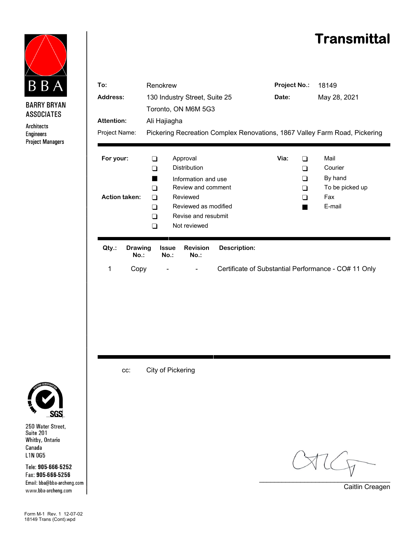## **Transmittal**



**BARRY BRYAN ASSOCIATES** 

Architects **Engineers Project Managers** 

| To:                               |                           | Renokrew                                                                                                                                                                                             |                            |                     | <b>Project No.:</b>                     | 18149                                                          |  |
|-----------------------------------|---------------------------|------------------------------------------------------------------------------------------------------------------------------------------------------------------------------------------------------|----------------------------|---------------------|-----------------------------------------|----------------------------------------------------------------|--|
| Address:                          |                           | 130 Industry Street, Suite 25                                                                                                                                                                        |                            |                     | Date:                                   | May 28, 2021                                                   |  |
|                                   |                           | Toronto, ON M6M 5G3                                                                                                                                                                                  |                            |                     |                                         |                                                                |  |
| <b>Attention:</b>                 |                           | Ali Hajiagha                                                                                                                                                                                         |                            |                     |                                         |                                                                |  |
| Project Name:                     |                           | Pickering Recreation Complex Renovations, 1867 Valley Farm Road, Pickering                                                                                                                           |                            |                     |                                         |                                                                |  |
|                                   |                           |                                                                                                                                                                                                      |                            |                     |                                         |                                                                |  |
| For your:<br><b>Action taken:</b> |                           | Approval<br>∩<br><b>Distribution</b><br>∩<br>Information and use<br>ш<br>Review and comment<br>$\Box$<br>Reviewed<br>∩<br>Reviewed as modified<br>∩<br>Revise and resubmit<br>∩<br>Not reviewed<br>∩ |                            |                     | Via:<br>□<br>❏<br>$\Box$<br>$\Box$<br>∩ | Mail<br>Courier<br>By hand<br>To be picked up<br>Fax<br>E-mail |  |
| Qty.:                             | <b>Drawing</b><br>$No.$ : | <b>Issue</b><br>$No.$ :                                                                                                                                                                              | <b>Revision</b><br>$No.$ : | <b>Description:</b> |                                         |                                                                |  |
| 1                                 | Copy                      |                                                                                                                                                                                                      |                            |                     |                                         | Certificate of Substantial Performance - CO# 11 Only           |  |
|                                   |                           |                                                                                                                                                                                                      |                            |                     |                                         |                                                                |  |
|                                   | CC:                       | City of Pickering                                                                                                                                                                                    |                            |                     |                                         |                                                                |  |



250 Water Street,<br>Suite 201 Whitby, Ontario Canada  $L1N0G5$ 

Tele: 905-666-5252 Fax: 905-666-5256 Email: bba@bba-archeng.com www.bba-archeng.com

\_\_\_\_\_\_\_\_\_\_\_\_\_\_\_\_\_\_\_\_\_\_\_\_\_\_\_\_\_\_\_\_\_\_\_

Caitlin Creagen